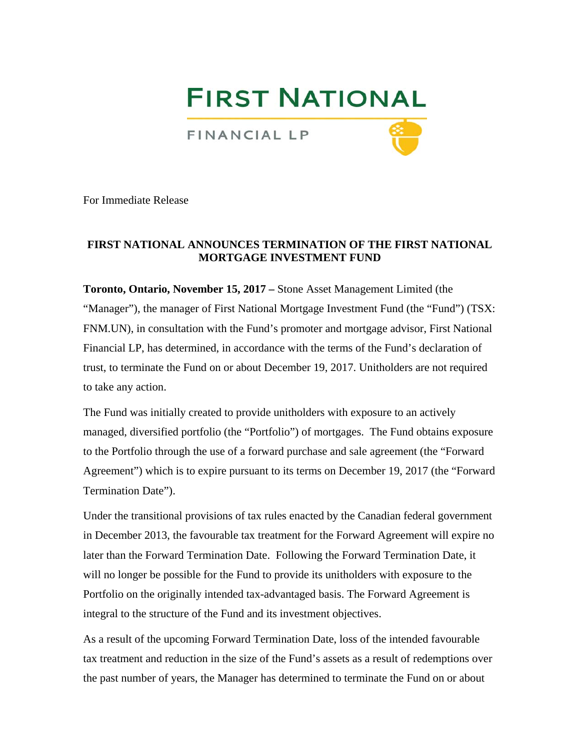# **FIRST NATIONAL**

FINANCIAL LP



For Immediate Release

# **FIRST NATIONAL ANNOUNCES TERMINATION OF THE FIRST NATIONAL MORTGAGE INVESTMENT FUND**

**Toronto, Ontario, November 15, 2017 –** Stone Asset Management Limited (the "Manager"), the manager of First National Mortgage Investment Fund (the "Fund") (TSX: FNM.UN), in consultation with the Fund's promoter and mortgage advisor, First National Financial LP, has determined, in accordance with the terms of the Fund's declaration of trust, to terminate the Fund on or about December 19, 2017. Unitholders are not required to take any action.

The Fund was initially created to provide unitholders with exposure to an actively managed, diversified portfolio (the "Portfolio") of mortgages. The Fund obtains exposure to the Portfolio through the use of a forward purchase and sale agreement (the "Forward Agreement") which is to expire pursuant to its terms on December 19, 2017 (the "Forward Termination Date").

Under the transitional provisions of tax rules enacted by the Canadian federal government in December 2013, the favourable tax treatment for the Forward Agreement will expire no later than the Forward Termination Date. Following the Forward Termination Date, it will no longer be possible for the Fund to provide its unitholders with exposure to the Portfolio on the originally intended tax-advantaged basis. The Forward Agreement is integral to the structure of the Fund and its investment objectives.

As a result of the upcoming Forward Termination Date, loss of the intended favourable tax treatment and reduction in the size of the Fund's assets as a result of redemptions over the past number of years, the Manager has determined to terminate the Fund on or about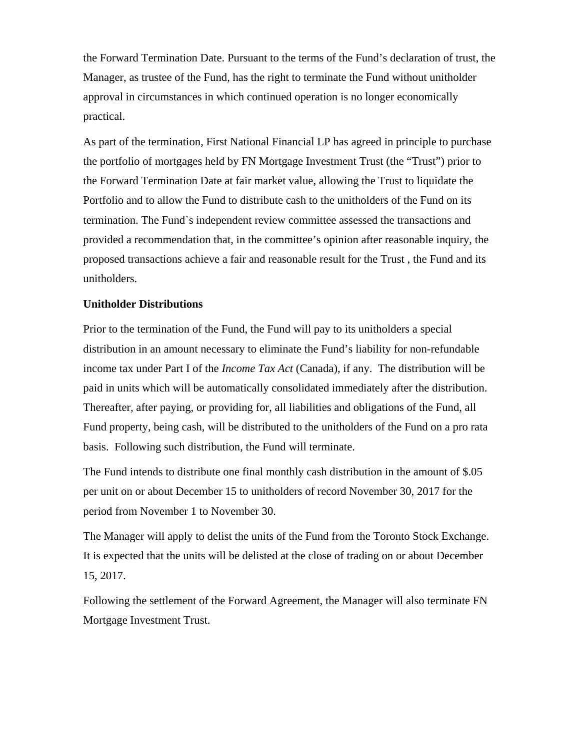the Forward Termination Date. Pursuant to the terms of the Fund's declaration of trust, the Manager, as trustee of the Fund, has the right to terminate the Fund without unitholder approval in circumstances in which continued operation is no longer economically practical.

As part of the termination, First National Financial LP has agreed in principle to purchase the portfolio of mortgages held by FN Mortgage Investment Trust (the "Trust") prior to the Forward Termination Date at fair market value, allowing the Trust to liquidate the Portfolio and to allow the Fund to distribute cash to the unitholders of the Fund on its termination. The Fund`s independent review committee assessed the transactions and provided a recommendation that, in the committee's opinion after reasonable inquiry, the proposed transactions achieve a fair and reasonable result for the Trust , the Fund and its unitholders.

## **Unitholder Distributions**

Prior to the termination of the Fund, the Fund will pay to its unitholders a special distribution in an amount necessary to eliminate the Fund's liability for non-refundable income tax under Part I of the *Income Tax Act* (Canada), if any. The distribution will be paid in units which will be automatically consolidated immediately after the distribution. Thereafter, after paying, or providing for, all liabilities and obligations of the Fund, all Fund property, being cash, will be distributed to the unitholders of the Fund on a pro rata basis. Following such distribution, the Fund will terminate.

The Fund intends to distribute one final monthly cash distribution in the amount of \$.05 per unit on or about December 15 to unitholders of record November 30, 2017 for the period from November 1 to November 30.

The Manager will apply to delist the units of the Fund from the Toronto Stock Exchange. It is expected that the units will be delisted at the close of trading on or about December 15, 2017.

Following the settlement of the Forward Agreement, the Manager will also terminate FN Mortgage Investment Trust.